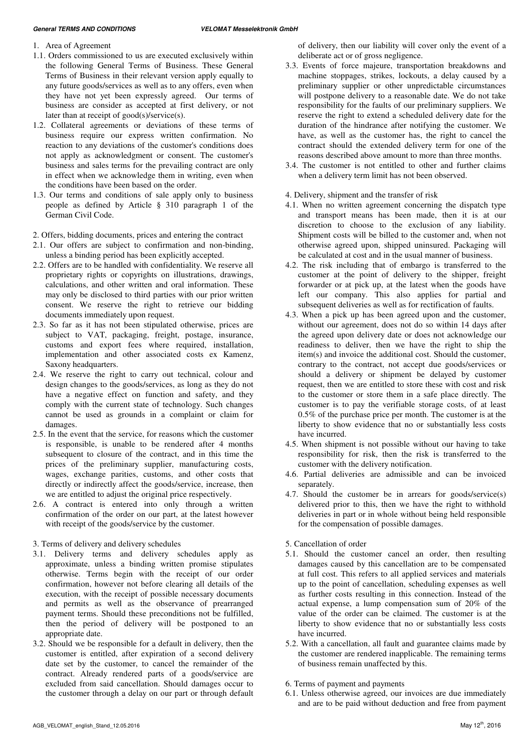## **General TERMS AND CONDITIONS VELOMAT Messelektronik GmbH**

- 1. Area of Agreement
- 1.1. Orders commissioned to us are executed exclusively within the following General Terms of Business. These General Terms of Business in their relevant version apply equally to any future goods/services as well as to any offers, even when they have not yet been expressly agreed. Our terms of business are consider as accepted at first delivery, or not later than at receipt of good(s)/service(s).
- 1.2. Collateral agreements or deviations of these terms of business require our express written confirmation. No reaction to any deviations of the customer's conditions does not apply as acknowledgment or consent. The customer's business and sales terms for the prevailing contract are only in effect when we acknowledge them in writing, even when the conditions have been based on the order.
- 1.3. Our terms and conditions of sale apply only to business people as defined by Article § 310 paragraph 1 of the German Civil Code.
- 2. Offers, bidding documents, prices and entering the contract
- 2.1. Our offers are subject to confirmation and non-binding, unless a binding period has been explicitly accepted.
- 2.2. Offers are to be handled with confidentiality. We reserve all proprietary rights or copyrights on illustrations, drawings, calculations, and other written and oral information. These may only be disclosed to third parties with our prior written consent. We reserve the right to retrieve our bidding documents immediately upon request.
- 2.3. So far as it has not been stipulated otherwise, prices are subject to VAT, packaging, freight, postage, insurance, customs and export fees where required, installation, implementation and other associated costs ex Kamenz, Saxony headquarters.
- 2.4. We reserve the right to carry out technical, colour and design changes to the goods/services, as long as they do not have a negative effect on function and safety, and they comply with the current state of technology. Such changes cannot be used as grounds in a complaint or claim for damages.
- 2.5. In the event that the service, for reasons which the customer is responsible, is unable to be rendered after 4 months subsequent to closure of the contract, and in this time the prices of the preliminary supplier, manufacturing costs, wages, exchange parities, customs, and other costs that directly or indirectly affect the goods/service, increase, then we are entitled to adjust the original price respectively.
- 2.6. A contract is entered into only through a written confirmation of the order on our part, at the latest however with receipt of the goods/service by the customer.
- 3. Terms of delivery and delivery schedules
- 3.1. Delivery terms and delivery schedules apply as approximate, unless a binding written promise stipulates otherwise. Terms begin with the receipt of our order confirmation, however not before clearing all details of the execution, with the receipt of possible necessary documents and permits as well as the observance of prearranged payment terms. Should these preconditions not be fulfilled, then the period of delivery will be postponed to an appropriate date.
- 3.2. Should we be responsible for a default in delivery, then the customer is entitled, after expiration of a second delivery date set by the customer, to cancel the remainder of the contract. Already rendered parts of a goods/service are excluded from said cancellation. Should damages occur to the customer through a delay on our part or through default

of delivery, then our liability will cover only the event of a deliberate act or of gross negligence.

- 3.3. Events of force majeure, transportation breakdowns and machine stoppages, strikes, lockouts, a delay caused by a preliminary supplier or other unpredictable circumstances will postpone delivery to a reasonable date. We do not take responsibility for the faults of our preliminary suppliers. We reserve the right to extend a scheduled delivery date for the duration of the hindrance after notifying the customer. We have, as well as the customer has, the right to cancel the contract should the extended delivery term for one of the reasons described above amount to more than three months.
- 3.4. The customer is not entitled to other and further claims when a delivery term limit has not been observed.
- 4. Delivery, shipment and the transfer of risk
- 4.1. When no written agreement concerning the dispatch type and transport means has been made, then it is at our discretion to choose to the exclusion of any liability. Shipment costs will be billed to the customer and, when not otherwise agreed upon, shipped uninsured. Packaging will be calculated at cost and in the usual manner of business.
- 4.2. The risk including that of embargo is transferred to the customer at the point of delivery to the shipper, freight forwarder or at pick up, at the latest when the goods have left our company. This also applies for partial and subsequent deliveries as well as for rectification of faults.
- 4.3. When a pick up has been agreed upon and the customer, without our agreement, does not do so within 14 days after the agreed upon delivery date or does not acknowledge our readiness to deliver, then we have the right to ship the item(s) and invoice the additional cost. Should the customer, contrary to the contract, not accept due goods/services or should a delivery or shipment be delayed by customer request, then we are entitled to store these with cost and risk to the customer or store them in a safe place directly. The customer is to pay the verifiable storage costs, of at least 0.5% of the purchase price per month. The customer is at the liberty to show evidence that no or substantially less costs have incurred.
- 4.5. When shipment is not possible without our having to take responsibility for risk, then the risk is transferred to the customer with the delivery notification.
- 4.6. Partial deliveries are admissible and can be invoiced separately.
- 4.7. Should the customer be in arrears for goods/service(s) delivered prior to this, then we have the right to withhold deliveries in part or in whole without being held responsible for the compensation of possible damages.
- 5. Cancellation of order
- 5.1. Should the customer cancel an order, then resulting damages caused by this cancellation are to be compensated at full cost. This refers to all applied services and materials up to the point of cancellation, scheduling expenses as well as further costs resulting in this connection. Instead of the actual expense, a lump compensation sum of 20% of the value of the order can be claimed. The customer is at the liberty to show evidence that no or substantially less costs have incurred.
- 5.2. With a cancellation, all fault and guarantee claims made by the customer are rendered inapplicable. The remaining terms of business remain unaffected by this.
- 6. Terms of payment and payments
- 6.1. Unless otherwise agreed, our invoices are due immediately and are to be paid without deduction and free from payment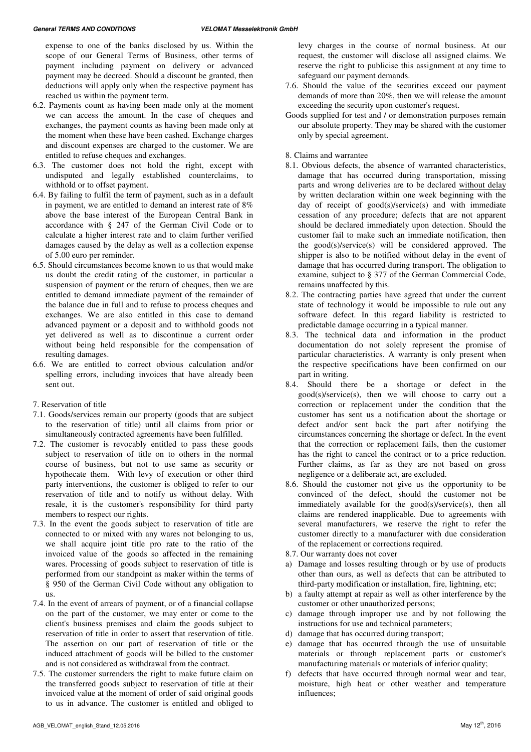expense to one of the banks disclosed by us. Within the scope of our General Terms of Business, other terms of payment including payment on delivery or advanced payment may be decreed. Should a discount be granted, then deductions will apply only when the respective payment has reached us within the payment term.

- 6.2. Payments count as having been made only at the moment we can access the amount. In the case of cheques and exchanges, the payment counts as having been made only at the moment when these have been cashed. Exchange charges and discount expenses are charged to the customer. We are entitled to refuse cheques and exchanges.
- 6.3. The customer does not hold the right, except with undisputed and legally established counterclaims, to withhold or to offset payment.
- 6.4. By failing to fulfil the term of payment, such as in a default in payment, we are entitled to demand an interest rate of 8% above the base interest of the European Central Bank in accordance with § 247 of the German Civil Code or to calculate a higher interest rate and to claim further verified damages caused by the delay as well as a collection expense of 5.00 euro per reminder.
- 6.5. Should circumstances become known to us that would make us doubt the credit rating of the customer, in particular a suspension of payment or the return of cheques, then we are entitled to demand immediate payment of the remainder of the balance due in full and to refuse to process cheques and exchanges. We are also entitled in this case to demand advanced payment or a deposit and to withhold goods not yet delivered as well as to discontinue a current order without being held responsible for the compensation of resulting damages.
- 6.6. We are entitled to correct obvious calculation and/or spelling errors, including invoices that have already been sent out.
- 7. Reservation of title
- 7.1. Goods/services remain our property (goods that are subject to the reservation of title) until all claims from prior or simultaneously contracted agreements have been fulfilled.
- 7.2. The customer is revocably entitled to pass these goods subject to reservation of title on to others in the normal course of business, but not to use same as security or hypothecate them. With levy of execution or other third party interventions, the customer is obliged to refer to our reservation of title and to notify us without delay. With resale, it is the customer's responsibility for third party members to respect our rights.
- 7.3. In the event the goods subject to reservation of title are connected to or mixed with any wares not belonging to us, we shall acquire joint title pro rate to the ratio of the invoiced value of the goods so affected in the remaining wares. Processing of goods subject to reservation of title is performed from our standpoint as maker within the terms of § 950 of the German Civil Code without any obligation to us.
- 7.4. In the event of arrears of payment, or of a financial collapse on the part of the customer, we may enter or come to the client's business premises and claim the goods subject to reservation of title in order to assert that reservation of title. The assertion on our part of reservation of title or the induced attachment of goods will be billed to the customer and is not considered as withdrawal from the contract.
- 7.5. The customer surrenders the right to make future claim on the transferred goods subject to reservation of title at their invoiced value at the moment of order of said original goods to us in advance. The customer is entitled and obliged to
- 7.6. Should the value of the securities exceed our payment demands of more than 20%, then we will release the amount exceeding the security upon customer's request.
- Goods supplied for test and / or demonstration purposes remain our absolute property. They may be shared with the customer only by special agreement.

8. Claims and warrantee

- 8.1. Obvious defects, the absence of warranted characteristics, damage that has occurred during transportation, missing parts and wrong deliveries are to be declared without delay by written declaration within one week beginning with the day of receipt of good(s)/service(s) and with immediate cessation of any procedure; defects that are not apparent should be declared immediately upon detection. Should the customer fail to make such an immediate notification, then the good(s)/service(s) will be considered approved. The shipper is also to be notified without delay in the event of damage that has occurred during transport. The obligation to examine, subject to § 377 of the German Commercial Code, remains unaffected by this.
- 8.2. The contracting parties have agreed that under the current state of technology it would be impossible to rule out any software defect. In this regard liability is restricted to predictable damage occurring in a typical manner.
- 8.3. The technical data and information in the product documentation do not solely represent the promise of particular characteristics. A warranty is only present when the respective specifications have been confirmed on our part in writing.
- 8.4. Should there be a shortage or defect in the good(s)/service(s), then we will choose to carry out a correction or replacement under the condition that the customer has sent us a notification about the shortage or defect and/or sent back the part after notifying the circumstances concerning the shortage or defect. In the event that the correction or replacement fails, then the customer has the right to cancel the contract or to a price reduction. Further claims, as far as they are not based on gross negligence or a deliberate act, are excluded.
- 8.6. Should the customer not give us the opportunity to be convinced of the defect, should the customer not be immediately available for the good(s)/service(s), then all claims are rendered inapplicable. Due to agreements with several manufacturers, we reserve the right to refer the customer directly to a manufacturer with due consideration of the replacement or corrections required.
- 8.7. Our warranty does not cover
- a) Damage and losses resulting through or by use of products other than ours, as well as defects that can be attributed to third-party modification or installation, fire, lightning, etc;
- b) a faulty attempt at repair as well as other interference by the customer or other unauthorized persons;
- c) damage through improper use and by not following the instructions for use and technical parameters;
- d) damage that has occurred during transport;
- e) damage that has occurred through the use of unsuitable materials or through replacement parts or customer's manufacturing materials or materials of inferior quality;
- f) defects that have occurred through normal wear and tear, moisture, high heat or other weather and temperature influences;